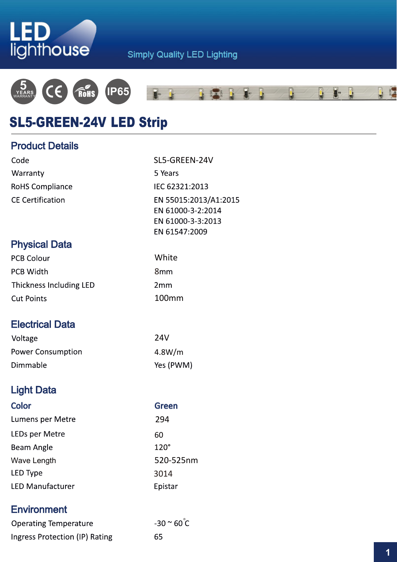



# SL5-GREEN-24V LED Strip

## **Product Details**

| Code                    | SL5-GREEN-24V                                                                    |  |
|-------------------------|----------------------------------------------------------------------------------|--|
| Warranty                | 5 Years                                                                          |  |
| <b>RoHS Compliance</b>  | IEC 62321:2013                                                                   |  |
| <b>CE Certification</b> | EN 55015:2013/A1:2015<br>EN 61000-3-2:2014<br>EN 61000-3-3:2013<br>EN 61547:2009 |  |
| <b>Physical Data</b>    |                                                                                  |  |
| <b>PCB Colour</b>       | White                                                                            |  |
| <b>PCB Width</b>        | 8 <sub>mm</sub>                                                                  |  |
| Thickness Including LED | 2mm                                                                              |  |
| <b>Cut Points</b>       | 100mm                                                                            |  |
|                         |                                                                                  |  |
| <b>Electrical Data</b>  |                                                                                  |  |
| $11 - 11 - - -$         | า ภ เ /                                                                          |  |

| Voltage                  | 24V       |
|--------------------------|-----------|
| <b>Power Consumption</b> | 4.8W/m    |
| Dimmable                 | Yes (PWM) |

# **Light Data**

| <b>Color</b>            | <b>Green</b> |
|-------------------------|--------------|
| Lumens per Metre        | 294          |
| LEDs per Metre          | 60           |
| Beam Angle              | $120^\circ$  |
| Wave Length             | 520-525nm    |
| LED Type                | 3014         |
| <b>LED Manufacturer</b> | Epistar      |
|                         |              |

## **Environment**

| <b>Operating Temperature</b>   | $-30$ $\sim$ 60 $\degree$ C |
|--------------------------------|-----------------------------|
| Ingress Protection (IP) Rating | 65                          |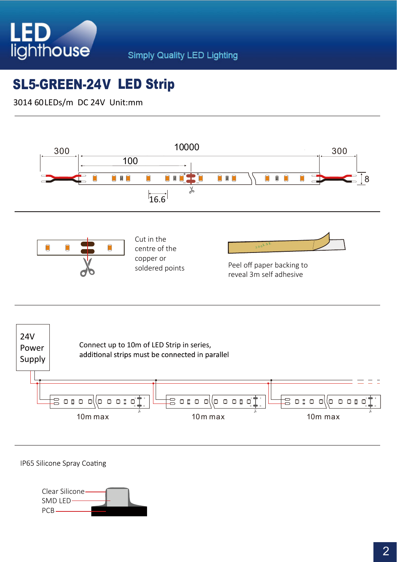

# SL5-GREEN-24V LED Strip

3014 60LEDs/m DC 24V Unit:mm



IP65 Silicone Spray Coating